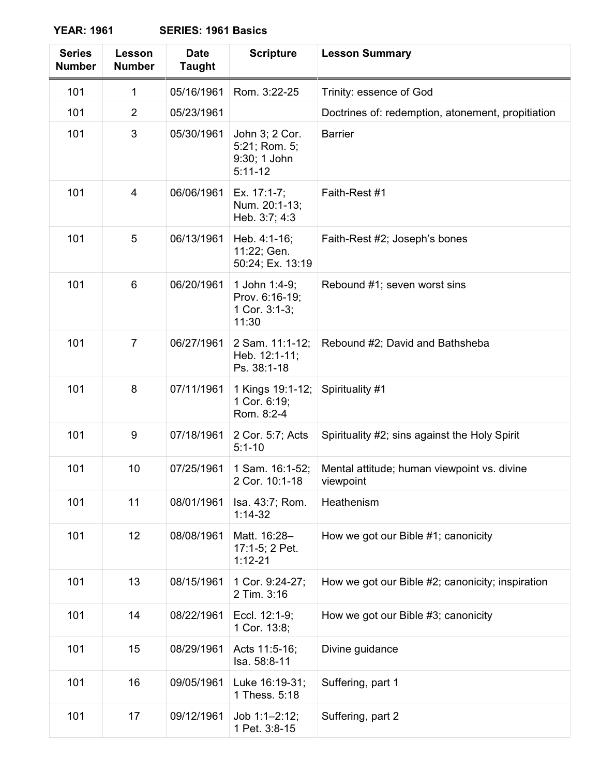**YEAR: 1961** 

| <b>Series</b><br><b>Number</b> | Lesson<br><b>Number</b> | <b>Date</b><br><b>Taught</b> | <b>Scripture</b>                                             | <b>Lesson Summary</b>                                    |  |
|--------------------------------|-------------------------|------------------------------|--------------------------------------------------------------|----------------------------------------------------------|--|
| 101                            | 1                       | 05/16/1961                   | Rom. 3:22-25                                                 | Trinity: essence of God                                  |  |
| 101                            | $\overline{2}$          | 05/23/1961                   |                                                              | Doctrines of: redemption, atonement, propitiation        |  |
| 101                            | 3                       | 05/30/1961                   | John 3; 2 Cor.<br>5:21; Rom. 5;<br>9:30; 1 John<br>$5:11-12$ | <b>Barrier</b>                                           |  |
| 101                            | 4                       | 06/06/1961                   | Ex. 17:1-7;<br>Num. 20:1-13;<br>Heb. 3:7; 4:3                | Faith-Rest #1                                            |  |
| 101                            | 5                       | 06/13/1961                   | Heb. 4:1-16;<br>11:22; Gen.<br>50:24; Ex. 13:19              | Faith-Rest #2; Joseph's bones                            |  |
| 101                            | 6                       | 06/20/1961                   | 1 John 1:4-9;<br>Prov. 6:16-19;<br>1 Cor. 3:1-3;<br>11:30    | Rebound #1; seven worst sins                             |  |
| 101                            | $\overline{7}$          | 06/27/1961                   | 2 Sam. 11:1-12;<br>Heb. 12:1-11;<br>Ps. 38:1-18              | Rebound #2; David and Bathsheba                          |  |
| 101                            | 8                       | 07/11/1961                   | 1 Kings 19:1-12;<br>1 Cor. 6:19;<br>Rom. 8:2-4               | Spirituality #1                                          |  |
| 101                            | 9                       | 07/18/1961                   | 2 Cor. 5:7; Acts<br>$5:1 - 10$                               | Spirituality #2; sins against the Holy Spirit            |  |
| 101                            | 10                      | 07/25/1961                   | 1 Sam. 16:1-52;<br>2 Cor. 10:1-18                            | Mental attitude; human viewpoint vs. divine<br>viewpoint |  |
| 101                            | 11                      | 08/01/1961                   | Isa. 43:7; Rom.<br>$1:14-32$                                 | Heathenism                                               |  |
| 101                            | 12                      | 08/08/1961                   | Matt. 16:28-<br>17:1-5; 2 Pet.<br>$1:12 - 21$                | How we got our Bible #1; canonicity                      |  |
| 101                            | 13                      | 08/15/1961                   | 1 Cor. 9:24-27;<br>2 Tim. 3:16                               | How we got our Bible #2; canonicity; inspiration         |  |
| 101                            | 14                      | 08/22/1961                   | Eccl. 12:1-9;<br>1 Cor. 13:8;                                | How we got our Bible #3; canonicity                      |  |
| 101                            | 15                      | 08/29/1961                   | Acts 11:5-16;<br>Isa. 58:8-11                                | Divine guidance                                          |  |
| 101                            | 16                      | 09/05/1961                   | Luke 16:19-31;<br>1 Thess. 5:18                              | Suffering, part 1                                        |  |
| 101                            | 17                      | 09/12/1961                   | Job $1:1-2:12$ ;<br>1 Pet. 3:8-15                            | Suffering, part 2                                        |  |